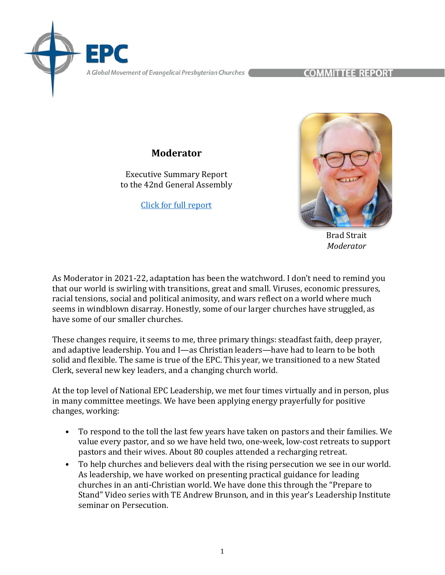A Global Movement of Evangelical Presbyterian Churches

COMMITTEE REPORT

## **Moderator**

Executive Summary Report to the 42nd General Assembly

[Click for full report](https://epc.org/2022report-moderator/)



Brad Strait *Moderator*

As Moderator in 2021-22, adaptation has been the watchword. I don't need to remind you that our world is swirling with transitions, great and small. Viruses, economic pressures, racial tensions, social and political animosity, and wars reflect on a world where much seems in windblown disarray. Honestly, some of our larger churches have struggled, as have some of our smaller churches.

These changes require, it seems to me, three primary things: steadfast faith, deep prayer, and adaptive leadership. You and I—as Christian leaders—have had to learn to be both solid and flexible. The same is true of the EPC. This year, we transitioned to a new Stated Clerk, several new key leaders, and a changing church world.

At the top level of National EPC Leadership, we met four times virtually and in person, plus in many committee meetings. We have been applying energy prayerfully for positive changes, working:

- To respond to the toll the last few years have taken on pastors and their families. We value every pastor, and so we have held two, one-week, low-cost retreats to support pastors and their wives. About 80 couples attended a recharging retreat.
- To help churches and believers deal with the rising persecution we see in our world. As leadership, we have worked on presenting practical guidance for leading churches in an anti-Christian world. We have done this through the "Prepare to Stand" Video series with TE Andrew Brunson, and in this year's Leadership Institute seminar on Persecution.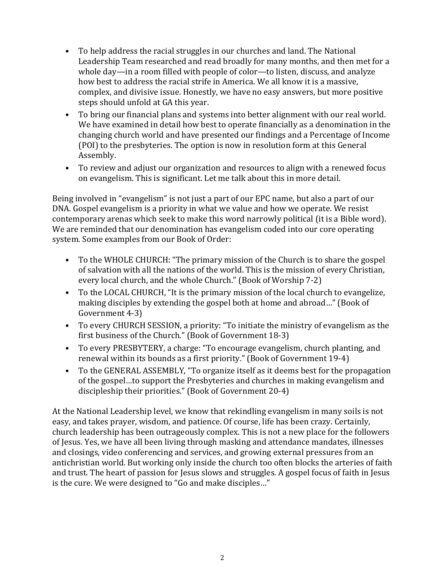- To help address the racial struggles in our churches and land. The National Leadership Team researched and read broadly for many months, and then met for a whole day—in a room filled with people of color—to listen, discuss, and analyze how best to address the racial strife in America. We all know it is a massive, complex, and divisive issue. Honestly, we have no easy answers, but more positive steps should unfold at GA this year.
- To bring our financial plans and systems into better alignment with our real world. We have examined in detail how best to operate financially as a denomination in the changing church world and have presented our findings and a Percentage of Income (POI) to the presbyteries. The option is now in resolution form at this General Assembly.
- To review and adjust our organization and resources to align with a renewed focus on evangelism. This is significant. Let me talk about this in more detail.

Being involved in "evangelism" is not just a part of our EPC name, but also a part of our DNA. Gospel evangelism is a priority in what we value and how we operate. We resist contemporary arenas which seek to make this word narrowly political (it is a Bible word). We are reminded that our denomination has evangelism coded into our core operating system. Some examples from our Book of Order:

- To the WHOLE CHURCH: "The primary mission of the Church is to share the gospel of salvation with all the nations of the world. This is the mission of every Christian, every local church, and the whole Church." (Book of Worship 7-2)
- To the LOCAL CHURCH, "It is the primary mission of the local church to evangelize, making disciples by extending the gospel both at home and abroad…" (Book of Government 4-3)
- To every CHURCH SESSION, a priority: "To initiate the ministry of evangelism as the first business of the Church." (Book of Government 18-3)
- To every PRESBYTERY, a charge: "To encourage evangelism, church planting, and renewal within its bounds as a first priority." (Book of Government 19-4)
- To the GENERAL ASSEMBLY, "To organize itself as it deems best for the propagation of the gospel…to support the Presbyteries and churches in making evangelism and discipleship their priorities." (Book of Government 20-4)

At the National Leadership level, we know that rekindling evangelism in many soils is not easy, and takes prayer, wisdom, and patience. Of course, life has been crazy. Certainly, church leadership has been outrageously complex. This is not a new place for the followers of Jesus. Yes, we have all been living through masking and attendance mandates, illnesses and closings, video conferencing and services, and growing external pressures from an antichristian world. But working only inside the church too often blocks the arteries of faith and trust. The heart of passion for Jesus slows and struggles. A gospel focus of faith in Jesus is the cure. We were designed to "Go and make disciples…"